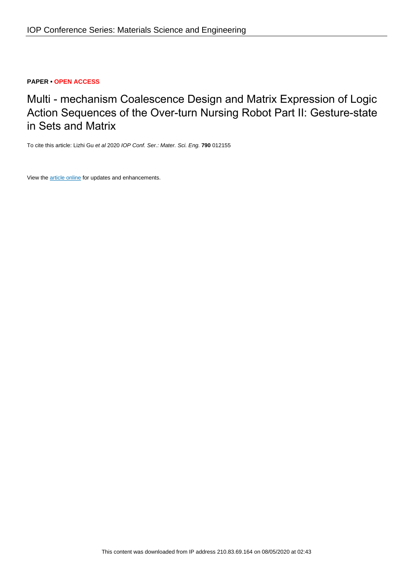# **PAPER • OPEN ACCESS**

Multi - mechanism Coalescence Design and Matrix Expression of Logic Action Sequences of the Over-turn Nursing Robot Part II: Gesture-state in Sets and Matrix

To cite this article: Lizhi Gu et al 2020 IOP Conf. Ser.: Mater. Sci. Eng. **790** 012155

View the [article online](https://doi.org/10.1088/1757-899X/790/1/012155) for updates and enhancements.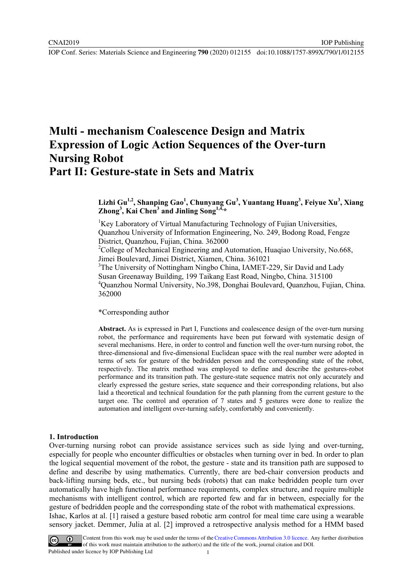# **Multi - mechanism Coalescence Design and Matrix Expression of Logic Action Sequences of the Over-turn Nursing Robot Part II: Gesture-state in Sets and Matrix**

## **Lizhi Gu1,2, Shanping Gao1 , Chunyang Gu<sup>3</sup> , Yuantang Huang<sup>3</sup> , Feiyue Xu<sup>3</sup> , Xiang**   $\sum$ **Zhong**<sup>3</sup>, Kai Chen<sup>3</sup> and Jinling Song<sup>1, $\overline{4}, \overline{4}$ </sup>

<sup>1</sup>Key Laboratory of Virtual Manufacturing Technology of Fujian Universities, Quanzhou University of Information Engineering, No. 249, Bodong Road, Fengze District, Quanzhou, Fujian, China. 362000

<sup>2</sup>College of Mechanical Engineering and Automation, Huaqiao University, No.668, Jimei Boulevard, Jimei District, Xiamen, China. 361021

<sup>3</sup>The University of Nottingham Ningbo China, IAMET-229, Sir David and Lady Susan Greenaway Building, 199 Taikang East Road, Ningbo, China. 315100 4 Quanzhou Normal University, No.398, Donghai Boulevard, Quanzhou, Fujian, China. 362000

\*Corresponding author

**Abstract.** As is expressed in Part I, Functions and coalescence design of the over-turn nursing robot, the performance and requirements have been put forward with systematic design of several mechanisms. Here, in order to control and function well the over-turn nursing robot, the three-dimensional and five-dimensional Euclidean space with the real number were adopted in terms of sets for gesture of the bedridden person and the corresponding state of the robot, respectively. The matrix method was employed to define and describe the gestures-robot performance and its transition path. The gesture-state sequence matrix not only accurately and clearly expressed the gesture series, state sequence and their corresponding relations, but also laid a theoretical and technical foundation for the path planning from the current gesture to the target one. The control and operation of 7 states and 5 gestures were done to realize the automation and intelligent over-turning safely, comfortably and conveniently.

#### **1. Introduction**

Over-turning nursing robot can provide assistance services such as side lying and over-turning, especially for people who encounter difficulties or obstacles when turning over in bed. In order to plan the logical sequential movement of the robot, the gesture - state and its transition path are supposed to define and describe by using mathematics. Currently, there are bed-chair conversion products and back-lifting nursing beds, etc., but nursing beds (robots) that can make bedridden people turn over automatically have high functional performance requirements, complex structure, and require multiple mechanisms with intelligent control, which are reported few and far in between, especially for the gesture of bedridden people and the corresponding state of the robot with mathematical expressions. Ishac, Karlos at al. [1] raised a gesture based robotic arm control for meal time care using a wearable sensory jacket. Demmer, Julia at al. [2] improved a retrospective analysis method for a HMM based



Content from this work may be used under the terms of the Creative Commons Attribution 3.0 licence. Any further distribution of this work must maintain attribution to the author(s) and the title of the work, journal citation and DOI. Published under licence by IOP Publishing Ltd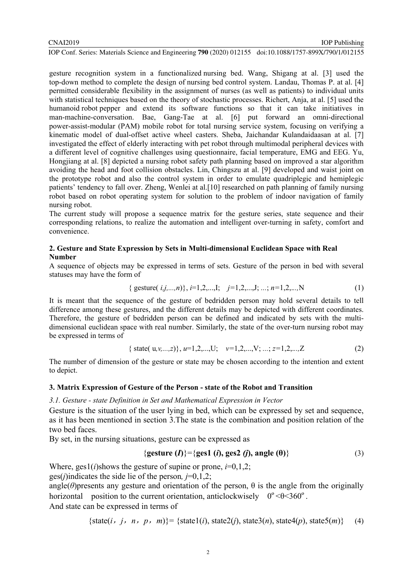#### CNAI2019

IOP Conf. Series: Materials Science and Engineering **790** (2020) 012155 doi:10.1088/1757-899X/790/1/012155

gesture recognition system in a functionalized nursing bed. Wang, Shigang at al. [3] used the top-down method to complete the design of nursing bed control system. Landau, Thomas P. at al. [4] permitted considerable flexibility in the assignment of nurses (as well as patients) to individual units with statistical techniques based on the theory of stochastic processes. Richert, Anja, at al. [5] used the humanoid robot pepper and extend its software functions so that it can take initiatives in man-machine-conversation. Bae, Gang-Tae at al. [6] put forward an omni-directional power-assist-modular (PAM) mobile robot for total nursing service system, focusing on verifying a kinematic model of dual-offset active wheel casters. Sheba, Jaichandar Kulandaidaasan at al. [7] investigated the effect of elderly interacting with pet robot through multimodal peripheral devices with a different level of cognitive challenges using questionnaire, facial temperature, EMG and EEG. Yu, Hongjiang at al. [8] depicted a nursing robot safety path planning based on improved a star algorithm avoiding the head and foot collision obstacles. Lin, Chingszu at al. [9] developed and waist joint on the prototype robot and also the control system in order to emulate quadriplegic and hemiplegic patients' tendency to fall over. Zheng, Wenlei at al.[10] researched on path planning of family nursing robot based on robot operating system for solution to the problem of indoor navigation of family nursing robot.

The current study will propose a sequence matrix for the gesture series, state sequence and their corresponding relations, to realize the automation and intelligent over-turning in safety, comfort and convenience.

## **2. Gesture and State Expression by Sets in Multi-dimensional Euclidean Space with Real Number**

A sequence of objects may be expressed in terms of sets. Gesture of the person in bed with several statuses may have the form of

$$
\{ \text{ gesture}(\ i,j,...,n) \}, \, i=1,2,...,l; \quad j=1,2,...,J; \quad ..; \quad n=1,2,...,N \tag{1}
$$

It is meant that the sequence of the gesture of bedridden person may hold several details to tell difference among these gestures, and the different details may be depicted with different coordinates. Therefore, the gesture of bedridden person can be defined and indicated by sets with the multidimensional euclidean space with real number. Similarly, the state of the over-turn nursing robot may be expressed in terms of

$$
\{ state(u,v,...,z)\}, u=1,2,...,U; v=1,2,...,V; ...; z=1,2,...,Z
$$
 (2)

The number of dimension of the gesture or state may be chosen according to the intention and extent to depict.

### **3. Matrix Expression of Gesture of the Person - state of the Robot and Transition**

*3.1. Gesture - state Definition in Set and Mathematical Expression in Vector* 

Gesture is the situation of the user lying in bed, which can be expressed by set and sequence. as it has been mentioned in section 3.The state is the combination and position relation of the two bed faces.

By set, in the nursing situations, gesture can be expressed as

$$
\{\text{gesture } (I)\} = \{\text{ges1 } (i), \text{ges2 } (j), \text{angle } (0)\}\tag{3}
$$

Where, ges1(*i*)shows the gesture of supine or prone, *i*=0,1,2;

ges(*j*)indicates the side lie of the person*, j*=0,1,2;

angle( $\theta$ )presents any gesture and orientation of the person,  $\theta$  is the angle from the originally horizontal position to the current orientation, anticlockwisely  $0^{\circ}$  <  $\theta$  < 360°.

And state can be expressed in terms of

$$
{\{state(i, j, n, p, m)\} = {\{state1(i), state2(j), state3(n), state4(p), state5(m)\}} (4)
$$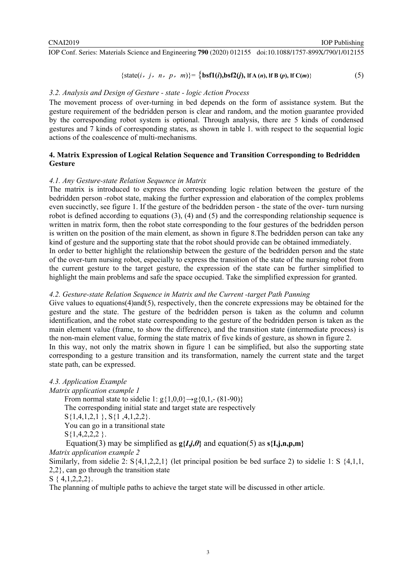$$
\{\text{state}(i, j, n, p, m)\} = \{\text{bsf1}(i), \text{bsf2}(j), \text{lf }A(n), \text{lf }B(p), \text{lf }C(m)\}\
$$
 (5)

## *3.2. Analysis and Design of Gesture - state - logic Action Process*

The movement process of over-turning in bed depends on the form of assistance system. But the gesture requirement of the bedridden person is clear and random, and the motion guarantee provided by the corresponding robot system is optional. Through analysis, there are 5 kinds of condensed gestures and 7 kinds of corresponding states, as shown in table 1. with respect to the sequential logic actions of the coalescence of multi-mechanisms.

## **4. Matrix Expression of Logical Relation Sequence and Transition Corresponding to Bedridden Gesture**

### *4.1. Any Gesture-state Relation Sequence in Matrix*

The matrix is introduced to express the corresponding logic relation between the gesture of the bedridden person -robot state, making the further expression and elaboration of the complex problems even succinctly, see figure 1. If the gesture of the bedridden person - the state of the over- turn nursing robot is defined according to equations (3), (4) and (5) and the corresponding relationship sequence is written in matrix form, then the robot state corresponding to the four gestures of the bedridden person is written on the position of the main element, as shown in figure 8.The bedridden person can take any kind of gesture and the supporting state that the robot should provide can be obtained immediately. In order to better highlight the relationship between the gesture of the bedridden person and the state of the over-turn nursing robot, especially to express the transition of the state of the nursing robot from the current gesture to the target gesture, the expression of the state can be further simplified to highlight the main problems and safe the space occupied. Take the simplified expression for granted.

#### *4.2. Gesture-state Relation Sequence in Matrix and the Current -target Path Panning*

Give values to equations(4)and(5), respectively, then the concrete expressions may be obtained for the gesture and the state. The gesture of the bedridden person is taken as the column and column identification, and the robot state corresponding to the gesture of the bedridden person is taken as the main element value (frame, to show the difference), and the transition state (intermediate process) is the non-main element value, forming the state matrix of five kinds of gesture, as shown in figure 2. In this way, not only the matrix shown in figure 1 can be simplified, but also the supporting state corresponding to a gesture transition and its transformation, namely the current state and the target state path, can be expressed.

*4.3. Application Example Matrix application example 1*  From normal state to sidelie 1:  $g\{1,0,0\} \rightarrow g\{0,1,-\{81-90\}\}\$ The corresponding initial state and target state are respectively S{1,4,1,2,1 }, S{1 ,4,1,2,2}. You can go in a transitional state  $S\{1,4,2,2,2\}$ . Equation(3) may be simplified as  $g\{I, j, \theta\}$  and equation(5) as  $s\{I, j, n, p, m\}$ *Matrix application example 2*  Similarly, from sidelie 2: S{4,1,2,2,1} (let principal position be bed surface 2) to sidelie 1: S {4,1,1, 2,2}, can go through the transition state

 $S \{4, 1, 2, 2, 2\}.$ 

The planning of multiple paths to achieve the target state will be discussed in other article.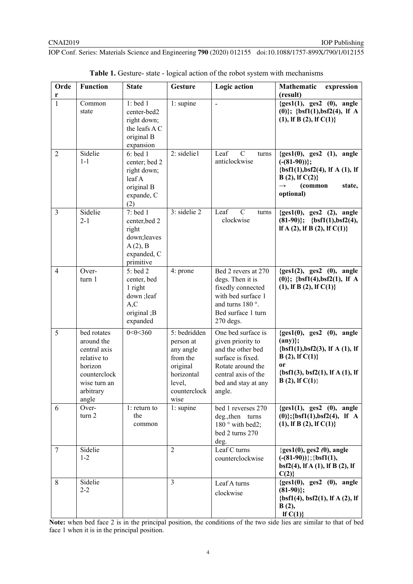| Orde<br>r      | <b>Function</b>                                                                                                           | <b>State</b>                                                                                | <b>Gesture</b>                                                                                                 | Logic action                                                                                                                                                   | <b>Mathematic</b><br>expression<br>(result)                                                                                                                                   |
|----------------|---------------------------------------------------------------------------------------------------------------------------|---------------------------------------------------------------------------------------------|----------------------------------------------------------------------------------------------------------------|----------------------------------------------------------------------------------------------------------------------------------------------------------------|-------------------------------------------------------------------------------------------------------------------------------------------------------------------------------|
| $\mathbf{1}$   | Common<br>state                                                                                                           | $1:$ bed $1$<br>center-bed2<br>right down;<br>the leafs A C<br>original B<br>expansion      | 1: supine                                                                                                      | $\overline{a}$                                                                                                                                                 | ${ges1(1), ges2(0), angle}$<br>$(0)$ }; {bsf1(1),bsf2(4), lf A<br>$(1)$ , If B $(2)$ , If C $(1)$ }                                                                           |
| $\overline{2}$ | Sidelie<br>$1 - 1$                                                                                                        | $6:$ bed 1<br>center; bed 2<br>right down;<br>leafA<br>original B<br>expande, C<br>(2)      | 2: sidelie1                                                                                                    | $\mathcal{C}$<br>Leaf<br>turns<br>anticlockwise                                                                                                                | ${ges1(0), ges2(1), angle}$<br>$(- (81-90))$ ;<br>$\{bsf1(1), bsf2(4), If A(1), If$<br>$B(2),$ If $C(2)$ }<br>(common<br>state,<br>$\rightarrow$<br>optional)                 |
| $\overline{3}$ | Sidelie<br>$2 - 1$                                                                                                        | 7: bed $1$<br>center, bed 2<br>right<br>down; leaves<br>A(2), B<br>expanded, C<br>primitive | $3:$ sidelie 2                                                                                                 | $\mathcal{C}$<br>Leaf<br>turns<br>clockwise                                                                                                                    | ${ges1(0), ges2(2), angle}$<br>$(81-90)$ ; {bsf1(1),bsf2(4),<br>If A $(2)$ , If B $(2)$ , If C $(1)$ }                                                                        |
| $\overline{4}$ | Over-<br>turn 1                                                                                                           | 5: bed 2<br>center, bed<br>1 right<br>down ; leaf<br>A, C<br>original; B<br>expanded        | 4: prone                                                                                                       | Bed 2 revers at 270<br>degs. Then it is<br>fixedly connected<br>with bed surface 1<br>and turns 180 $^{\circ}$ .<br>Bed surface 1 turn<br>$270$ degs.          | ${ges1(2), ges2(0), angle}$<br>$(0)$ }; {bsf1(4),bsf2(1), lf A<br>$(1)$ , If B $(2)$ , If C $(1)$ }                                                                           |
| 5              | bed rotates<br>around the<br>central axis<br>relative to<br>horizon<br>counterclock<br>wise turn an<br>arbitrary<br>angle | $0 < \theta < 360$                                                                          | 5: bedridden<br>person at<br>any angle<br>from the<br>original<br>horizontal<br>level,<br>counterclock<br>wise | One bed surface is<br>given priority to<br>and the other bed<br>surface is fixed.<br>Rotate around the<br>central axis of the<br>bed and stay at any<br>angle. | ${ges1(0), ges2(0), angle}$<br>$(\text{any})$<br>$\{bsf1(1), bsf2(3), lf A(1), lf$<br>$B(2)$ , If $C(1)$ }<br><b>or</b><br>$\{bsf1(3), bsf2(1), lf A(1), lf$<br>B(2), If C(1) |
| 6              | Over-<br>turn 2                                                                                                           | $1:$ return to<br>the<br>common                                                             | 1: supine                                                                                                      | bed 1 reverses 270<br>deg., then turns<br>180° with bed2;<br>bed 2 turns 270<br>deg.                                                                           | ${ges1(1), ges2(0), angle}$<br>$(0)$ };{bsf1(1),bsf2(4), lf A<br>$(1)$ , If B $(2)$ , If C $(1)$ }                                                                            |
| 7              | Sidelie<br>$1 - 2$                                                                                                        |                                                                                             | $\overline{2}$                                                                                                 | Leaf C turns<br>counterclockwise                                                                                                                               | ${ges1(0), ges2(0), angle}$<br>$(- (81-90))$ ; {bsf1(1),<br>$bsf2(4)$ , If A (1), If B (2), If<br>C(2)                                                                        |
| 8              | Sidelie<br>$2 - 2$                                                                                                        |                                                                                             | $\overline{3}$                                                                                                 | Leaf A turns<br>clockwise                                                                                                                                      | ${ges1(0), ges2(0), angle}$<br>$(81-90)$ ;<br>$\{bsf1(4), bsf2(1), lf A(2), lf$<br>B(2),<br>If $C(1)$                                                                         |

| <b>Table 1.</b> Gesture-state - logical action of the robot system with mechanisms |  |  |
|------------------------------------------------------------------------------------|--|--|
|                                                                                    |  |  |

**Note:** when bed face 2 is in the principal position, the conditions of the two side lies are similar to that of bed face 1 when it is in the principal position.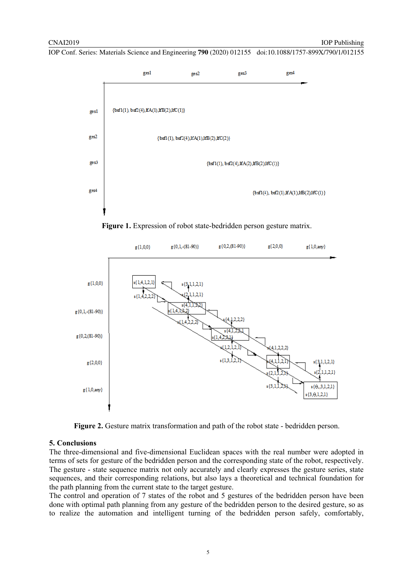





Figure 2. Gesture matrix transformation and path of the robot state - bedridden person.

### **5. Conclusions**

The three-dimensional and five-dimensional Euclidean spaces with the real number were adopted in terms of sets for gesture of the bedridden person and the corresponding state of the robot, respectively. The gesture - state sequence matrix not only accurately and clearly expresses the gesture series, state sequences, and their corresponding relations, but also lays a theoretical and technical foundation for the path planning from the current state to the target gesture.

The control and operation of 7 states of the robot and 5 gestures of the bedridden person have been done with optimal path planning from any gesture of the bedridden person to the desired gesture, so as to realize the automation and intelligent turning of the bedridden person safely, comfortably,